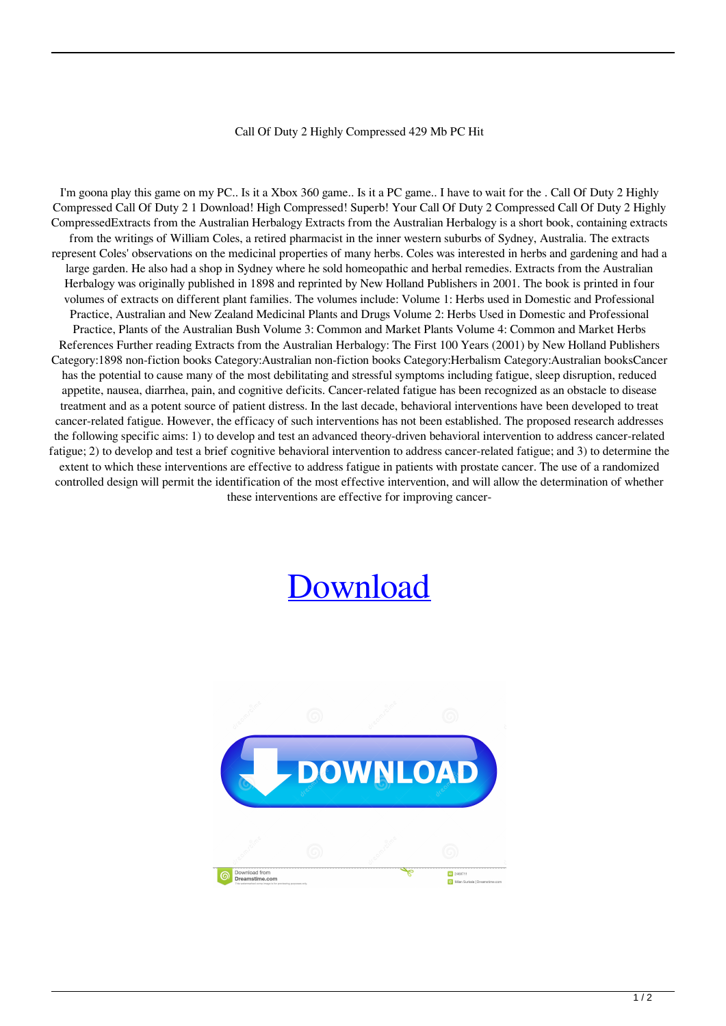## Call Of Duty 2 Highly Compressed 429 Mb PC Hit

I'm goona play this game on my PC.. Is it a Xbox 360 game.. Is it a PC game.. I have to wait for the . Call Of Duty 2 Highly Compressed Call Of Duty 2 1 Download! High Compressed! Superb! Your Call Of Duty 2 Compressed Call Of Duty 2 Highly CompressedExtracts from the Australian Herbalogy Extracts from the Australian Herbalogy is a short book, containing extracts from the writings of William Coles, a retired pharmacist in the inner western suburbs of Sydney, Australia. The extracts represent Coles' observations on the medicinal properties of many herbs. Coles was interested in herbs and gardening and had a large garden. He also had a shop in Sydney where he sold homeopathic and herbal remedies. Extracts from the Australian Herbalogy was originally published in 1898 and reprinted by New Holland Publishers in 2001. The book is printed in four volumes of extracts on different plant families. The volumes include: Volume 1: Herbs used in Domestic and Professional Practice, Australian and New Zealand Medicinal Plants and Drugs Volume 2: Herbs Used in Domestic and Professional Practice, Plants of the Australian Bush Volume 3: Common and Market Plants Volume 4: Common and Market Herbs References Further reading Extracts from the Australian Herbalogy: The First 100 Years (2001) by New Holland Publishers Category:1898 non-fiction books Category:Australian non-fiction books Category:Herbalism Category:Australian booksCancer has the potential to cause many of the most debilitating and stressful symptoms including fatigue, sleep disruption, reduced appetite, nausea, diarrhea, pain, and cognitive deficits. Cancer-related fatigue has been recognized as an obstacle to disease treatment and as a potent source of patient distress. In the last decade, behavioral interventions have been developed to treat cancer-related fatigue. However, the efficacy of such interventions has not been established. The proposed research addresses the following specific aims: 1) to develop and test an advanced theory-driven behavioral intervention to address cancer-related fatigue; 2) to develop and test a brief cognitive behavioral intervention to address cancer-related fatigue; and 3) to determine the extent to which these interventions are effective to address fatigue in patients with prostate cancer. The use of a randomized controlled design will permit the identification of the most effective intervention, and will allow the determination of whether these interventions are effective for improving cancer-

## [Download](http://evacdir.com/cerato/chromatically.Q2FsbCBPZiBEdXR5IDIgSGlnaGx5IENvbXByZXNzZWQgNDI5IE1iIFBDIGhpdAQ2F?frydman=/gallos/macedonians/milliondollardeals&pragmatic=ZG93bmxvYWR8aloyTW1KaWFYeDhNVFkxTWpjME1EZzJObng4TWpVM05IeDhLRTBwSUhKbFlXUXRZbXh2WnlCYlJtRnpkQ0JIUlU1ZA)